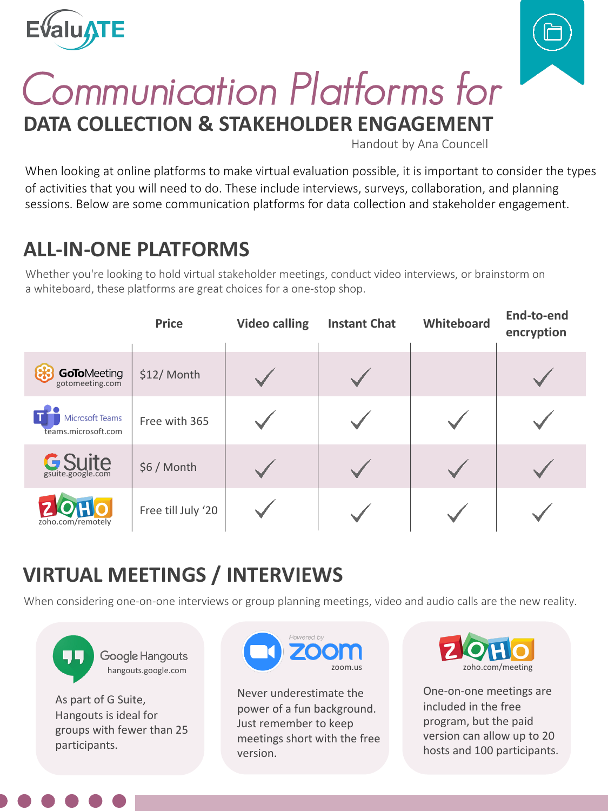



# **DATA COLLECTION & STAKEHOLDER ENGAGEMENT**

Handout by Ana Councell

When looking at online platforms to make virtual evaluation possible, it is important to consider the types of activities that you will need to do. These include interviews, surveys, collaboration, and planning sessions. Below are some communication platforms for data collection and stakeholder engagement.

## **ALL-IN-ONE PLATFORMS**

Whether you're looking to hold virtual stakeholder meetings, conduct video interviews, or brainstorm on a whiteboard, these platforms are great choices for a one-stop shop.

|                                        | <b>Price</b>       | <b>Video calling</b> | <b>Instant Chat</b> | Whiteboard | End-to-end<br>encryption |
|----------------------------------------|--------------------|----------------------|---------------------|------------|--------------------------|
| GoToMeeting<br>gotomeeting.com         | \$12/ Month        |                      |                     |            |                          |
| Microsoft Teams<br>teams.microsoft.com | Free with 365      |                      |                     |            |                          |
| <b>G</b> Suite<br>gsuite.google.com    | \$6 / Month        |                      |                     |            |                          |
| zoho.com/remotely                      | Free till July '20 |                      |                     |            |                          |

## **VIRTUAL MEETINGS / INTERVIEWS**

When considering one-on-one interviews or group planning meetings, video and audio calls are the new reality.



Google Hangouts

As part of G Suite, Hangouts is ideal for groups with fewer than 25 participants.



Never underestimate the power of a fun background. Just remember to keep meetings short with the free version.



One-on-one meetings are included in the free program, but the paid version can allow up to 20 hosts and 100 participants.